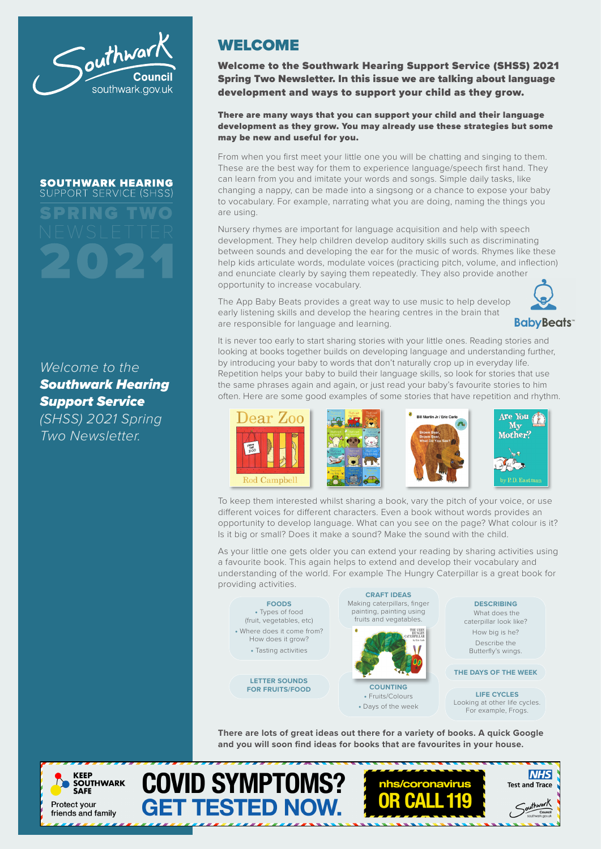

#### **SOUTHWARK HEARING** SUPPORT SERVICE (SHSS)

SPRING TWO

### *Welcome to the Southwark Hearing Support Service*

*(SHSS) 2021 Spring Two Newsletter.*

## WELCOME

Welcome to the Southwark Hearing Support Service (SHSS) 2021 Spring Two Newsletter. In this issue we are talking about language development and ways to support your child as they grow.

#### There are many ways that you can support your child and their language development as they grow. You may already use these strategies but some may be new and useful for you.

From when you first meet your little one you will be chatting and singing to them. These are the best way for them to experience language/speech first hand. They can learn from you and imitate your words and songs. Simple daily tasks, like changing a nappy, can be made into a singsong or a chance to expose your baby to vocabulary. For example, narrating what you are doing, naming the things you are using.

Nursery rhymes are important for language acquisition and help with speech development. They help children develop auditory skills such as discriminating between sounds and developing the ear for the music of words. Rhymes like these help kids articulate words, modulate voices (practicing pitch, volume, and inflection) and enunciate clearly by saying them repeatedly. They also provide another opportunity to increase vocabulary.

The App Baby Beats provides a great way to use music to help develop early listening skills and develop the hearing centres in the brain that are responsible for language and learning.



It is never too early to start sharing stories with your little ones. Reading stories and looking at books together builds on developing language and understanding further, by introducing your baby to words that don't naturally crop up in everyday life. Repetition helps your baby to build their language skills, so look for stories that use the same phrases again and again, or just read your baby's favourite stories to him often. Here are some good examples of some stories that have repetition and rhythm.



To keep them interested whilst sharing a book, vary the pitch of your voice, or use different voices for different characters. Even a book without words provides an opportunity to develop language. What can you see on the page? What colour is it? Is it big or small? Does it make a sound? Make the sound with the child.

As your little one gets older you can extend your reading by sharing activities using a favourite book. This again helps to extend and develop their vocabulary and understanding of the world. For example The Hungry Caterpillar is a great book for providing activities.



**There are lots of great ideas out there for a variety of books. A quick Google and you will soon find ideas for books that are favourites in your house.**

**COVID SYMPTOMS?** 

**GET TESTED NOW.**